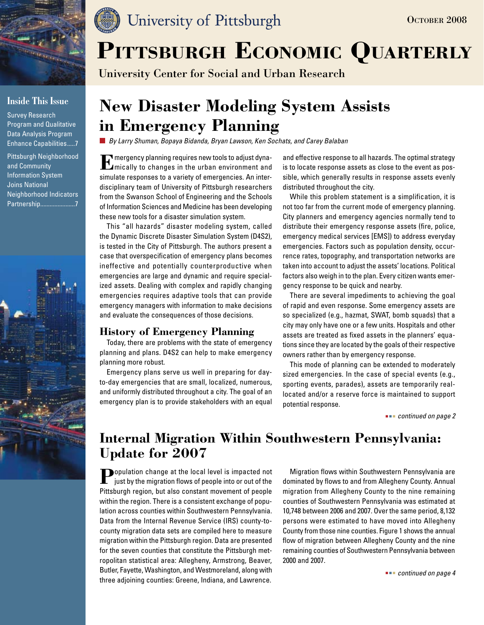

## **Inside This Issue**

Survey Research Program and Qualitative Data Analysis Program Enhance Capabilities.....7

Pittsburgh Neighborhood and Community Information System Joins National Neighborhood Indicators Partnership......................7



## University of Pittsburgh

# PITTSBURGH ECONOMIC QUARTERLY

University Center for Social and Urban Research

## **New Disaster Modeling System Assists in Emergency Planning**

*By Larry Shuman, Bopaya Bidanda, Bryan Lawson, Ken Sochats, and Carey Balaban*

**E**mergency planning requires new tools to adjust dyna- $L$ mically to changes in the urban environment and simulate responses to a variety of emergencies. An interdisciplinary team of University of Pittsburgh researchers from the Swanson School of Engineering and the Schools of Information Sciences and Medicine has been developing these new tools for a disaster simulation system.

This "all hazards" disaster modeling system, called the Dynamic Discrete Disaster Simulation System (D4S2), is tested in the City of Pittsburgh. The authors present a case that overspecification of emergency plans becomes ineffective and potentially counterproductive when emergencies are large and dynamic and require specialized assets. Dealing with complex and rapidly changing emergencies requires adaptive tools that can provide emergency managers with information to make decisions and evaluate the consequences of those decisions.

## **History of Emergency Planning**

Today, there are problems with the state of emergency planning and plans. D4S2 can help to make emergency planning more robust.

Emergency plans serve us well in preparing for dayto-day emergencies that are small, localized, numerous, and uniformly distributed throughout a city. The goal of an emergency plan is to provide stakeholders with an equal and effective response to all hazards. The optimal strategy is to locate response assets as close to the event as possible, which generally results in response assets evenly distributed throughout the city.

While this problem statement is a simplification, it is not too far from the current mode of emergency planning. City planners and emergency agencies normally tend to distribute their emergency response assets (fire, police, emergency medical services [EMS]) to address everyday emergencies. Factors such as population density, occurrence rates, topography, and transportation networks are taken into account to adjust the assets' locations. Political factors also weigh in to the plan. Every citizen wants emergency response to be quick and nearby.

There are several impediments to achieving the goal of rapid and even response. Some emergency assets are so specialized (e.g., hazmat, SWAT, bomb squads) that a city may only have one or a few units. Hospitals and other assets are treated as fixed assets in the planners' equations since they are located by the goals of their respective owners rather than by emergency response.

This mode of planning can be extended to moderately sized emergencies. In the case of special events (e.g., sporting events, parades), assets are temporarily reallocated and/or a reserve force is maintained to support potential response.

 *continued on page 2*

## **Internal Migration Within Southwestern Pennsylvania: Update for 2007**

**Population change at the local level is impacted not** just by the migration flows of people into or out of the Pittsburgh region, but also constant movement of people within the region. There is a consistent exchange of population across counties within Southwestern Pennsylvania. Data from the Internal Revenue Service (IRS) county-tocounty migration data sets are compiled here to measure migration within the Pittsburgh region. Data are presented for the seven counties that constitute the Pittsburgh metropolitan statistical area: Allegheny, Armstrong, Beaver, Butler, Fayette, Washington, and Westmoreland, along with three adjoining counties: Greene, Indiana, and Lawrence.

Migration flows within Southwestern Pennsylvania are dominated by flows to and from Allegheny County. Annual migration from Allegheny County to the nine remaining counties of Southwestern Pennsylvania was estimated at 10,748 between 2006 and 2007. Over the same period, 8,132 persons were estimated to have moved into Allegheny County from those nine counties. Figure 1 shows the annual flow of migration between Allegheny County and the nine remaining counties of Southwestern Pennsylvania between 2000 and 2007.

 *continued on page 4*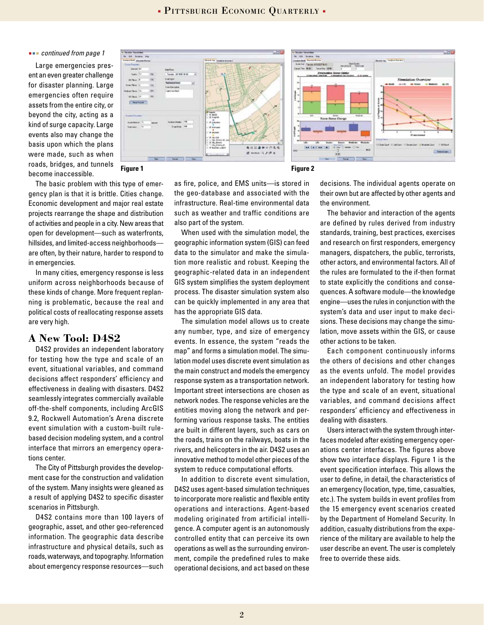#### *continued from page 1*

Large emergencies present an even greater challenge for disaster planning. Large emergencies often require assets from the entire city, or beyond the city, acting as a kind of surge capacity. Large events also may change the basis upon which the plans were made, such as when roads, bridges, and tunnels become inaccessible.



The basic problem with this type of emergency plan is that it is brittle. Cities change. Economic development and major real estate projects rearrange the shape and distribution of activities and people in a city. New areas that open for development—such as waterfronts, hillsides, and limited-access neighborhoods are often, by their nature, harder to respond to in emergencies.

In many cities, emergency response is less uniform across neighborhoods because of these kinds of change. More frequent replanning is problematic, because the real and political costs of reallocating response assets are very high.

## **A New Tool: D4S2**

D4S2 provides an independent laboratory for testing how the type and scale of an event, situational variables, and command decisions affect responders' efficiency and effectiveness in dealing with disasters. D4S2 seamlessly integrates commercially available off-the-shelf components, including ArcGIS 9.2, Rockwell Automation's Arena discrete event simulation with a custom-built rulebased decision modeling system, and a control interface that mirrors an emergency operations center.

The City of Pittsburgh provides the development case for the construction and validation of the system. Many insights were gleaned as a result of applying D4S2 to specific disaster scenarios in Pittsburgh.

D4S2 contains more than 100 layers of geographic, asset, and other geo-referenced information. The geographic data describe infrastructure and physical details, such as roads, waterways, and topography. Information about emergency response resources—such

as fire, police, and EMS units—is stored in the geo-database and associated with the infrastructure. Real-time environmental data such as weather and traffic conditions are also part of the system.

When used with the simulation model, the geographic information system (GIS) can feed data to the simulator and make the simulation more realistic and robust. Keeping the geographic-related data in an independent GIS system simplifies the system deployment process. The disaster simulation system also can be quickly implemented in any area that has the appropriate GIS data.

The simulation model allows us to create any number, type, and size of emergency events. In essence, the system "reads the map" and forms a simulation model. The simulation model uses discrete event simulation as the main construct and models the emergency response system as a transportation network. Important street intersections are chosen as network nodes. The response vehicles are the entities moving along the network and performing various response tasks. The entities are built in different layers, such as cars on the roads, trains on the railways, boats in the rivers, and helicopters in the air. D4S2 uses an innovative method to model other pieces of the system to reduce computational efforts.

In addition to discrete event simulation, D4S2 uses agent-based simulation techniques to incorporate more realistic and flexible entity operations and interactions. Agent-based modeling originated from artificial intelligence. A computer agent is an autonomously controlled entity that can perceive its own operations as well as the surrounding environment, compile the predefined rules to make operational decisions, and act based on these

decisions. The individual agents operate on their own but are affected by other agents and the environment.

The behavior and interaction of the agents are defined by rules derived from industry standards, training, best practices, exercises and research on first responders, emergency managers, dispatchers, the public, terrorists, other actors, and environmental factors. All of the rules are formulated to the if-then format to state explicitly the conditions and consequences. A software module—the knowledge engine—uses the rules in conjunction with the system's data and user input to make decisions. These decisions may change the simulation, move assets within the GIS, or cause other actions to be taken.

Each component continuously informs the others of decisions and other changes as the events unfold. The model provides an independent laboratory for testing how the type and scale of an event, situational variables, and command decisions affect responders' efficiency and effectiveness in dealing with disasters.

Users interact with the system through interfaces modeled after existing emergency operations center interfaces. The figures above show two interface displays. Figure 1 is the event specification interface. This allows the user to define, in detail, the characteristics of an emergency (location, type, time, casualties, etc.). The system builds in event profiles from the 15 emergency event scenarios created by the Department of Homeland Security. In addition, casualty distributions from the experience of the military are available to help the user describe an event. The user is completely free to override these aids.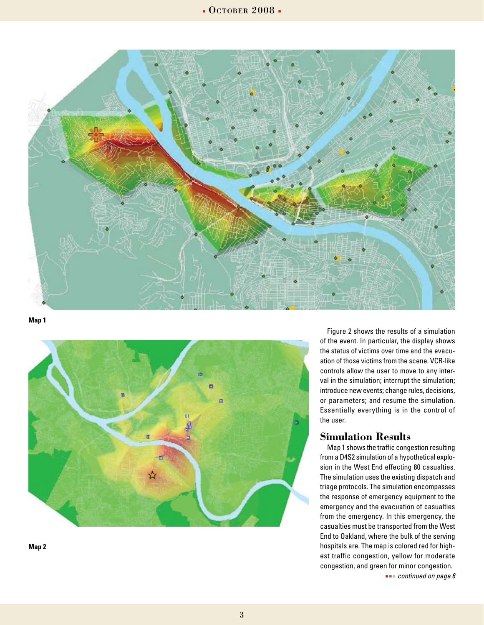

**Map 1**



**Map 2**

Figure 2 shows the results of a simulation of the event. In particular, the display shows the status of victims over time and the evacuation of those victims from the scene. VCR-like controls allow the user to move to any interval in the simulation; interrupt the simulation; introduce new events; change rules, decisions, or parameters; and resume the simulation. Essentially everything is in the control of the user.

### **Simulation Results**

Map 1 shows the traffic congestion resulting from a D4S2 simulation of a hypothetical explosion in the West End effecting 80 casualties. The simulation uses the existing dispatch and triage protocols. The simulation encompasses the response of emergency equipment to the emergency and the evacuation of casualties from the emergency. In this emergency, the casualties must be transported from the West End to Oakland, where the bulk of the serving hospitals are. The map is colored red for highest traffic congestion, yellow for moderate congestion, and green for minor congestion.

 *continued on page 6*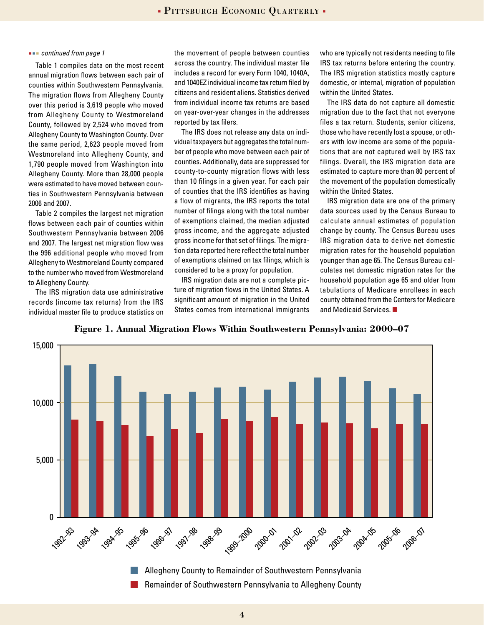Table 1 compiles data on the most recent annual migration flows between each pair of counties within Southwestern Pennsylvania. The migration flows from Allegheny County over this period is 3,619 people who moved from Allegheny County to Westmoreland County, followed by 2,524 who moved from Allegheny County to Washington County. Over the same period, 2,623 people moved from Westmoreland into Allegheny County, and 1,790 people moved from Washington into Allegheny County. More than 28,000 people were estimated to have moved between counties in Southwestern Pennsylvania between 2006 and 2007.

Table 2 compiles the largest net migration flows between each pair of counties within Southwestern Pennsylvania between 2006 and 2007. The largest net migration flow was the 996 additional people who moved from Allegheny to Westmoreland County compared to the number who moved from Westmoreland to Allegheny County.

The IRS migration data use administrative records (income tax returns) from the IRS individual master file to produce statistics on

 *continued from page 1* the movement of people between counties across the country. The individual master file includes a record for every Form 1040, 1040A, and 1040EZ individual income tax return filed by citizens and resident aliens. Statistics derived from individual income tax returns are based on year-over-year changes in the addresses reported by tax filers.

> The IRS does not release any data on individual taxpayers but aggregates the total number of people who move between each pair of counties. Additionally, data are suppressed for county-to-county migration flows with less than 10 filings in a given year. For each pair of counties that the IRS identifies as having a flow of migrants, the IRS reports the total number of filings along with the total number of exemptions claimed, the median adjusted gross income, and the aggregate adjusted gross income for that set of filings. The migration data reported here reflect the total number of exemptions claimed on tax filings, which is considered to be a proxy for population.

> IRS migration data are not a complete picture of migration flows in the United States. A significant amount of migration in the United States comes from international immigrants

who are typically not residents needing to file IRS tax returns before entering the country. The IRS migration statistics mostly capture domestic, or internal, migration of population within the United States.

The IRS data do not capture all domestic migration due to the fact that not everyone files a tax return. Students, senior citizens, those who have recently lost a spouse, or others with low income are some of the populations that are not captured well by IRS tax filings. Overall, the IRS migration data are estimated to capture more than 80 percent of the movement of the population domestically within the United States.

IRS migration data are one of the primary data sources used by the Census Bureau to calculate annual estimates of population change by county. The Census Bureau uses IRS migration data to derive net domestic migration rates for the household population younger than age 65. The Census Bureau calculates net domestic migration rates for the household population age 65 and older from tabulations of Medicare enrollees in each county obtained from the Centers for Medicare and Medicaid Services.



**Figure 1. Annual Migration Flows Within Southwestern Pennsylvania: 2000–07**

Allegheny County to Remainder of Southwestern Pennsylvania Remainder of Southwestern Pennsylvania to Allegheny County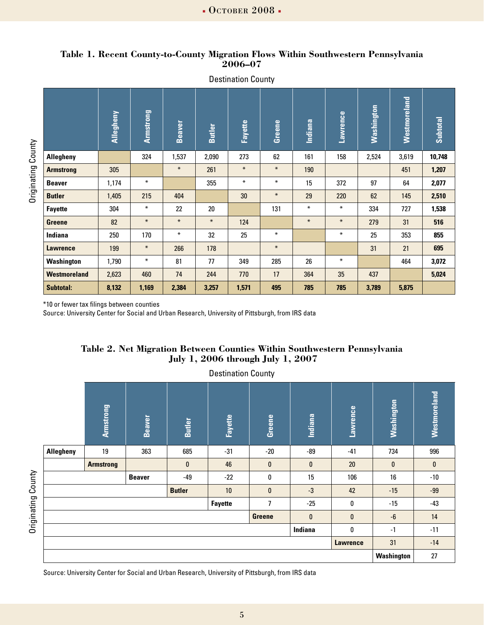### **Table 1. Recent County-to-County Migration Flows Within Southwestern Pennsylvania 2006–07**

Destination County

|                     | Allegheny | Armstrong | <b>Beaver</b> | <b>Butler</b> | <b>Fayette</b> | Greene | Indiana | Lawrence | Washington | Westmoreland | Subtotal |
|---------------------|-----------|-----------|---------------|---------------|----------------|--------|---------|----------|------------|--------------|----------|
| <b>Allegheny</b>    |           | 324       | 1,537         | 2,090         | 273            | 62     | 161     | 158      | 2,524      | 3,619        | 10,748   |
| <b>Armstrong</b>    | 305       |           | $\ast$        | 261           | $\ast$         | $\ast$ | 190     |          |            | 451          | 1,207    |
| <b>Beaver</b>       | 1,174     | $\ast$    |               | 355           | $\ast$         | $\ast$ | 15      | 372      | 97         | 64           | 2,077    |
| <b>Butler</b>       | 1,405     | 215       | 404           |               | 30             | $\ast$ | 29      | 220      | 62         | 145          | 2,510    |
| <b>Fayette</b>      | 304       | $\ast$    | 22            | 20            |                | 131    | $\ast$  | $\ast$   | 334        | 727          | 1,538    |
| <b>Greene</b>       | 82        | $\ast$    | $\ast$        | $\ast$        | 124            |        | $\ast$  | $\ast$   | 279        | 31           | 516      |
| <b>Indiana</b>      | 250       | 170       | $\ast$        | 32            | 25             | $\ast$ |         | $\ast$   | 25         | 353          | 855      |
| <b>Lawrence</b>     | 199       | $\ast$    | 266           | 178           |                | $\ast$ |         |          | 31         | 21           | 695      |
| Washington          | 1,790     | $\ast$    | 81            | 77            | 349            | 285    | 26      | $\ast$   |            | 464          | 3,072    |
| <b>Westmoreland</b> | 2,623     | 460       | 74            | 244           | 770            | 17     | 364     | 35       | 437        |              | 5,024    |
| <b>Subtotal:</b>    | 8,132     | 1,169     | 2,384         | 3,257         | 1,571          | 495    | 785     | 785      | 3,789      | 5,875        |          |

Originating County Originating County

\*10 or fewer tax filings between counties

Source: University Center for Social and Urban Research, University of Pittsburgh, from IRS data

## **Table 2. Net Migration Between Counties Within Southwestern Pennsylvania July 1, 2006 through July 1, 2007**

Destination County

|                         | Armstrong        | <b>Beaver</b> | <b>Butler</b> | <b>Fayette</b> | Greene | Indiana      | Lawrence | Washington   | Westmoreland |
|-------------------------|------------------|---------------|---------------|----------------|--------|--------------|----------|--------------|--------------|
| <b>Allegheny</b>        | 19               | 363           | 685           | $-31$          | $-20$  | -89          | $-41$    | 734          | 996          |
|                         | <b>Armstrong</b> |               | $\bf{0}$      | 46             | 0      | $\mathbf{0}$ | 20       | $\mathbf{0}$ | $\bf{0}$     |
| $-49$<br><b>Beaver</b>  |                  |               |               | $-22$          | 0      | 15           | 106      | 16           | $-10$        |
| 10<br><b>Butler</b>     |                  |               |               |                | 0      | $-3$         | 42       | $-15$        | $-99$        |
| <b>Fayette</b>          |                  |               |               |                |        | $-25$        | 0        | $-15$        | $-43$        |
| 0<br>0<br><b>Greene</b> |                  |               |               |                |        |              |          | -6           | 14           |
| Indiana<br>0            |                  |               |               |                |        |              |          | $-1$         | $-11$        |
| <b>Lawrence</b>         |                  |               |               |                |        |              |          |              | $-14$        |
|                         |                  |               |               |                |        |              |          |              | 27           |

Source: University Center for Social and Urban Research, University of Pittsburgh, from IRS data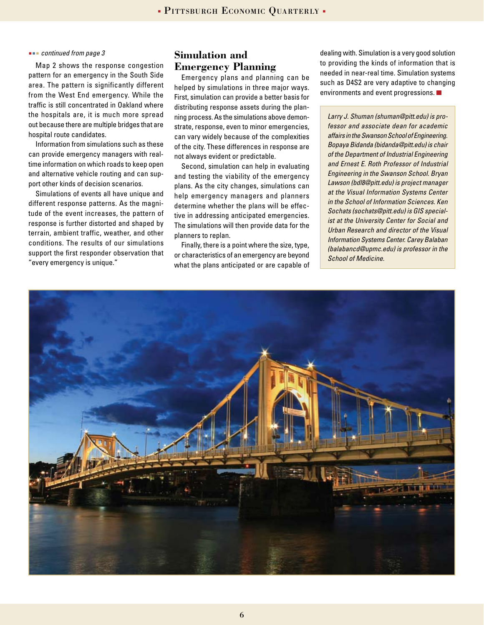#### *continued from page 3*

Map 2 shows the response congestion pattern for an emergency in the South Side area. The pattern is significantly different from the West End emergency. While the traffic is still concentrated in Oakland where the hospitals are, it is much more spread out because there are multiple bridges that are hospital route candidates.

Information from simulations such as these can provide emergency managers with realtime information on which roads to keep open and alternative vehicle routing and can support other kinds of decision scenarios.

Simulations of events all have unique and different response patterns. As the magnitude of the event increases, the pattern of response is further distorted and shaped by terrain, ambient traffic, weather, and other conditions. The results of our simulations support the first responder observation that "every emergency is unique."

## **Simulation and Emergency Planning**

Emergency plans and planning can be helped by simulations in three major ways. First, simulation can provide a better basis for distributing response assets during the planning process. As the simulations above demonstrate, response, even to minor emergencies, can vary widely because of the complexities of the city. These differences in response are not always evident or predictable.

Second, simulation can help in evaluating and testing the viability of the emergency plans. As the city changes, simulations can help emergency managers and planners determine whether the plans will be effective in addressing anticipated emergencies. The simulations will then provide data for the planners to replan.

Finally, there is a point where the size, type, or characteristics of an emergency are beyond what the plans anticipated or are capable of

dealing with. Simulation is a very good solution to providing the kinds of information that is needed in near-real time. Simulation systems such as D4S2 are very adaptive to changing environments and event progressions.

*Larry J. Shuman (shuman@pitt.edu) is professor and associate dean for academic affairs in the Swanson School of Engineering. Bopaya Bidanda (bidanda@pitt.edu) is chair of the Department of Industrial Engineering and Ernest E. Roth Professor of Industrial Engineering in the Swanson School. Bryan Lawson (bdl8@pitt.edu) is project manager at the Visual Information Systems Center in the School of Information Sciences. Ken Sochats (sochats@pitt.edu) is GIS specialist at the University Center for Social and Urban Research and director of the Visual Information Systems Center. Carey Balaban (balabancd@upmc.edu) is professor in the School of Medicine.* 

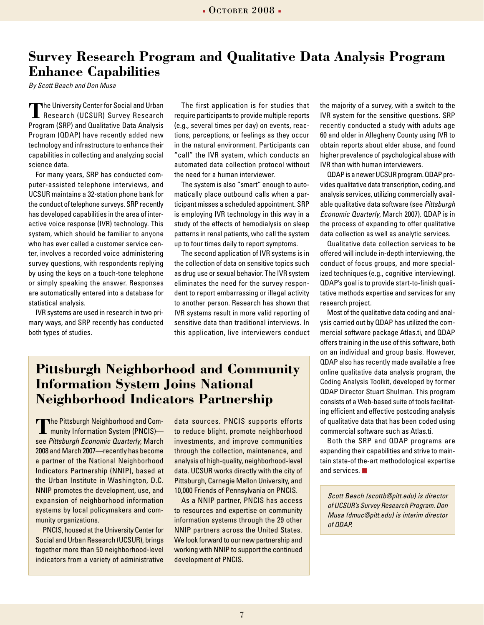## **Survey Research Program and Qualitative Data Analysis Program Enhance Capabilities**

*By Scott Beach and Don Musa*

**The University Center for Social and Urban Research (UCSUR) Survey Research** Program (SRP) and Qualitative Data Analysis Program (QDAP) have recently added new technology and infrastructure to enhance their capabilities in collecting and analyzing social science data.

For many years, SRP has conducted computer-assisted telephone interviews, and UCSUR maintains a 32-station phone bank for the conduct of telephone surveys. SRP recently has developed capabilities in the area of interactive voice response (IVR) technology. This system, which should be familiar to anyone who has ever called a customer service center, involves a recorded voice administering survey questions, with respondents replying by using the keys on a touch-tone telephone or simply speaking the answer. Responses are automatically entered into a database for statistical analysis.

IVR systems are used in research in two primary ways, and SRP recently has conducted both types of studies.

The first application is for studies that require participants to provide multiple reports (e.g., several times per day) on events, reactions, perceptions, or feelings as they occur in the natural environment. Participants can "call" the IVR system, which conducts an automated data collection protocol without the need for a human interviewer.

The system is also "smart" enough to automatically place outbound calls when a participant misses a scheduled appointment. SRP is employing IVR technology in this way in a study of the effects of hemodialysis on sleep patterns in renal patients, who call the system up to four times daily to report symptoms.

The second application of IVR systems is in the collection of data on sensitive topics such as drug use or sexual behavior. The IVR system eliminates the need for the survey respondent to report embarrassing or illegal activity to another person. Research has shown that IVR systems result in more valid reporting of sensitive data than traditional interviews. In this application, live interviewers conduct

## **Pittsburgh Neighborhood and Community Information System Joins National Neighborhood Indicators Partnership**

**The Pittsburgh Neighborhood and Com-**<br>munity Information System (PNCIS) see *Pittsburgh Economic Quarterly*, March 2008 and March 2007—recently has become a partner of the National Neighborhood Indicators Partnership (NNIP), based at the Urban Institute in Washington, D.C. NNIP promotes the development, use, and expansion of neighborhood information systems by local policymakers and community organizations.

PNCIS, housed at the University Center for Social and Urban Research (UCSUR), brings together more than 50 neighborhood-level indicators from a variety of administrative data sources. PNCIS supports efforts to reduce blight, promote neighborhood investments, and improve communities through the collection, maintenance, and analysis of high-quality, neighborhood-level data. UCSUR works directly with the city of Pittsburgh, Carnegie Mellon University, and 10,000 Friends of Pennsylvania on PNCIS.

As a NNIP partner, PNCIS has access to resources and expertise on community information systems through the 29 other NNIP partners across the United States. We look forward to our new partnership and working with NNIP to support the continued development of PNCIS.

the majority of a survey, with a switch to the IVR system for the sensitive questions. SRP recently conducted a study with adults age 60 and older in Allegheny County using IVR to obtain reports about elder abuse, and found higher prevalence of psychological abuse with IVR than with human interviewers.

QDAP is a newer UCSUR program. QDAP provides qualitative data transcription, coding, and analysis services, utilizing commercially available qualitative data software (see *Pittsburgh Economic Quarterly*, March 2007). QDAP is in the process of expanding to offer qualitative data collection as well as analytic services.

Qualitative data collection services to be offered will include in-depth interviewing, the conduct of focus groups, and more specialized techniques (e.g., cognitive interviewing). QDAP's goal is to provide start-to-finish qualitative methods expertise and services for any research project.

Most of the qualitative data coding and analysis carried out by QDAP has utilized the commercial software package Atlas.ti, and QDAP offers training in the use of this software, both on an individual and group basis. However, QDAP also has recently made available a free online qualitative data analysis program, the Coding Analysis Toolkit, developed by former QDAP Director Stuart Shulman. This program consists of a Web-based suite of tools facilitating efficient and effective postcoding analysis of qualitative data that has been coded using commercial software such as Atlas.ti.

Both the SRP and QDAP programs are expanding their capabilities and strive to maintain state-of the-art methodological expertise and services.

*Scott Beach (scottb@pitt.edu) is director of UCSUR's Survey Research Program. Don Musa (dmuc@pitt.edu) is interim director of QDAP.*